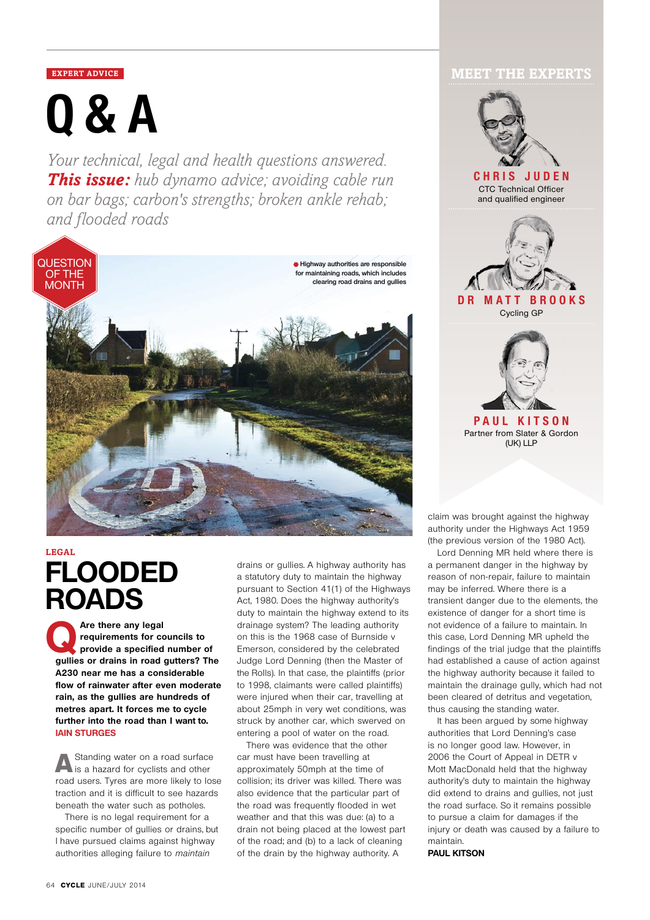**Q&A**

*Your technical, legal and health questions answered. This issue: hub dynamo advice; avoiding cable run on bar bags; carbon's strengths; broken ankle rehab; and flooded roads*



# **FLOODED ROADS Legal**

Are there any legal<br> **provide a specified number of**  $\overline{a}$ <br> **provide a specified number of**  $\overline{b}$ **requirements for councils to gullies or drains in road gutters? The A230 near me has a considerable flow of rainwater after even moderate rain, as the gullies are hundreds of metres apart. It forces me to cycle further into the road than I want to. Iain Sturges**

A Standing water on a road surface<br>is a hazard for cyclists and other road users. Tyres are more likely to lose traction and it is difficult to see hazards beneath the water such as potholes.

There is no legal requirement for a specific number of gullies or drains, but I have pursued claims against highway authorities alleging failure to maintain

drains or gullies. A highway authority has a statutory duty to maintain the highway pursuant to Section 41(1) of the Highways Act, 1980. Does the highway authority's duty to maintain the highway extend to its drainage system? The leading authority on this is the 1968 case of Burnside v Emerson, considered by the celebrated Judge Lord Denning (then the Master of the Rolls). In that case, the plaintiffs (prior to 1998, claimants were called plaintiffs) were injured when their car, travelling at about 25mph in very wet conditions, was struck by another car, which swerved on entering a pool of water on the road.

There was evidence that the other car must have been travelling at approximately 50mph at the time of collision; its driver was killed. There was also evidence that the particular part of the road was frequently flooded in wet weather and that this was due: (a) to a drain not being placed at the lowest part of the road; and (b) to a lack of cleaning of the drain by the highway authority. A

# **EXPERT ADVICE MEET THE EXPERTS**



claim was brought against the highway authority under the Highways Act 1959 (the previous version of the 1980 Act).

Lord Denning MR held where there is a permanent danger in the highway by reason of non-repair, failure to maintain may be inferred. Where there is a transient danger due to the elements, the existence of danger for a short time is not evidence of a failure to maintain. In this case, Lord Denning MR upheld the findings of the trial judge that the plaintiffs had established a cause of action against the highway authority because it failed to maintain the drainage gully, which had not been cleared of detritus and vegetation, thus causing the standing water.

It has been argued by some highway authorities that Lord Denning's case is no longer good law. However, in 2006 the Court of Appeal in DETR v Mott MacDonald held that the highway authority's duty to maintain the highway did extend to drains and gullies, not just the road surface. So it remains possible to pursue a claim for damages if the injury or death was caused by a failure to maintain.

**Paul Kitson**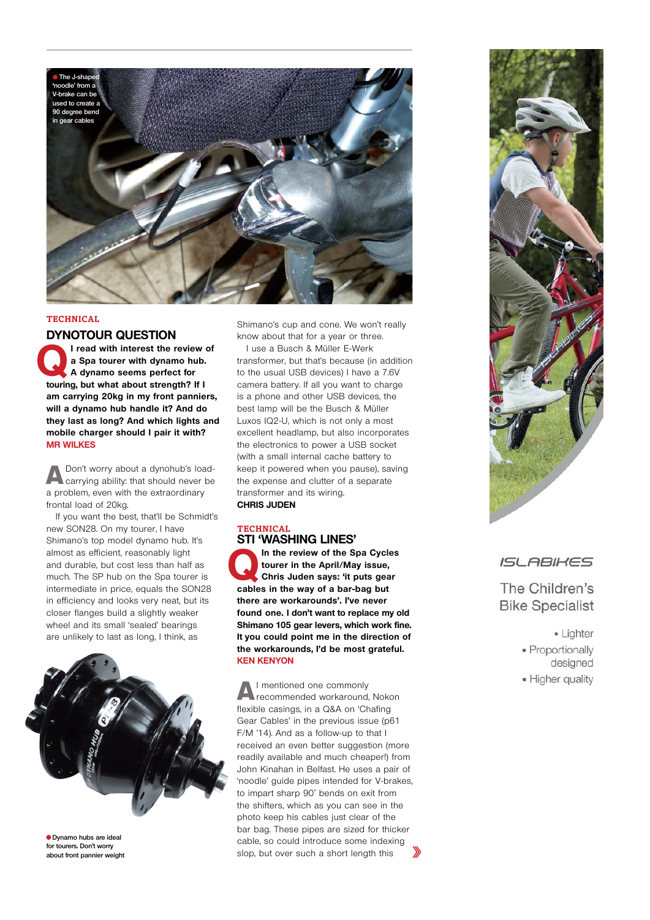

#### **Technical**

### **DYNOTOUR QUESTION**

I read with interest the review of<br>a Spa tourer with dynamo hub.<br>A dynamo seems perfect for **a Spa tourer with dynamo hub. A dynamo seems perfect for touring, but what about strength? If I am carrying 20kg in my front panniers, will a dynamo hub handle it? And do they last as long? And which lights and mobile charger should I pair it with? Mr Wilkes**

ADon't worry about a dynohub's load-carrying ability: that should never be a problem, even with the extraordinary frontal load of 20kg.

If you want the best, that'll be Schmidt's new SON28. On my tourer, I have Shimano's top model dynamo hub. It's almost as efficient, reasonably light and durable, but cost less than half as much. The SP hub on the Spa tourer is intermediate in price, equals the SON28 in efficiency and looks very neat, but its closer flanges build a slightly weaker wheel and its small 'sealed' bearings are unlikely to last as long, I think, as



**Dynamo hubs are ideal for tourers. Don't worry about front pannier weight**

Shimano's cup and cone. We won't really know about that for a year or three.

I use a Busch & Müller E-Werk transformer, but that's because (in addition to the usual USB devices) I have a 7.6V camera battery. If all you want to charge is a phone and other USB devices, the best lamp will be the Busch & Müller Luxos IQ2-U, which is not only a most excellent headlamp, but also incorporates the electronics to power a USB socket (with a small internal cache battery to keep it powered when you pause), saving the expense and clutter of a separate transformer and its wiring. **Chris Juden**

# **Technical STI 'WASHING LINES'** In the review of the Spa Cycles

**tourer in the April/May issue, Chris Juden says: 'it puts gear cables in the way of a bar-bag but there are workarounds'. I've never found one. I don't want to replace my old Shimano 105 gear levers, which work fine. It you could point me in the direction of the workarounds, I'd be most grateful. Ken Kenyon**

AI mentioned one commonly recommended workaround, Nokon flexible casings, in a Q&A on 'Chafing Gear Cables' in the previous issue (p61 F/M '14). And as a follow-up to that I received an even better suggestion (more readily available and much cheaper!) from John Kinahan in Belfast. He uses a pair of 'noodle' guide pipes intended for V-brakes, to impart sharp 90˚ bends on exit from the shifters, which as you can see in the photo keep his cables just clear of the bar bag. These pipes are sized for thicker cable, so could introduce some indexing slop, but over such a short length this



# ISL ABIKES

# The Children's **Bike Specialist**

- · Lighter · Proportionally designed
- · Higher quality